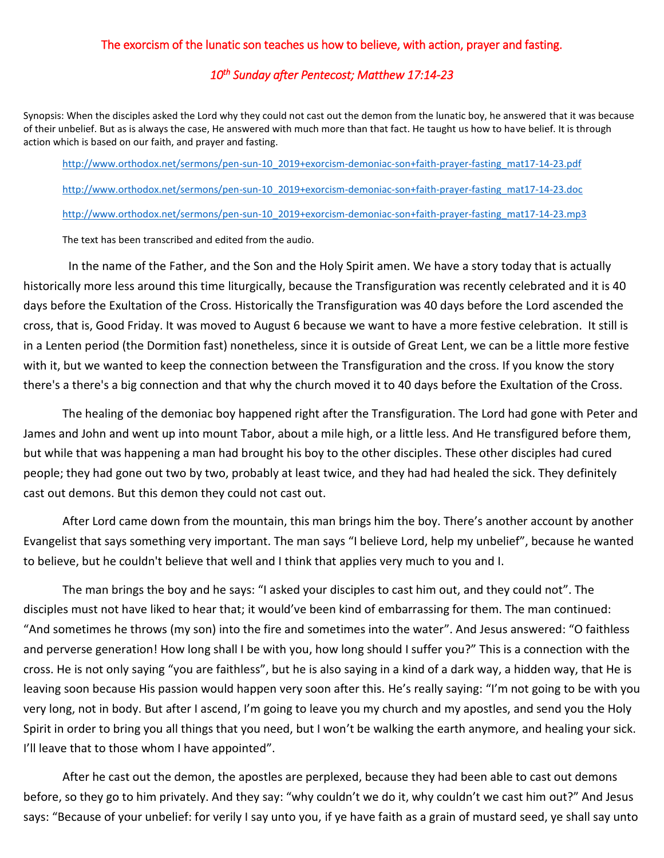## The exorcism of the lunatic son teaches us how to believe, with action, prayer and fasting.

## *10th Sunday after Pentecost; Matthew 17:14-23*

Synopsis: When the disciples asked the Lord why they could not cast out the demon from the lunatic boy, he answered that it was because of their unbelief. But as is always the case, He answered with much more than that fact. He taught us how to have belief. It is through action which is based on our faith, and prayer and fasting.

[http://www.orthodox.net/sermons/pen-sun-10\\_2019+exorcism-demoniac-son+faith-prayer-fasting\\_mat17-14-23.pdf](https://www.orthodox.net//sermons/pen-sun-10_2019+exorcism-demoniac-son+faith-prayer-fasting_mat17-14-23.pdf) [http://www.orthodox.net/sermons/pen-sun-10\\_2019+exorcism-demoniac-son+faith-prayer-fasting\\_mat17-14-23.doc](https://www.orthodox.net//sermons/pen-sun-10_2019+exorcism-demoniac-son+faith-prayer-fasting_mat17-14-23.doc) [http://www.orthodox.net/sermons/pen-sun-10\\_2019+exorcism-demoniac-son+faith-prayer-fasting\\_mat17-14-23.mp3](https://www.orthodox.net//sermons/pen-sun-10_2019+exorcism-demoniac-son+faith-prayer-fasting_mat17-14-23.mp3)

The text has been transcribed and edited from the audio.

 In the name of the Father, and the Son and the Holy Spirit amen. We have a story today that is actually historically more less around this time liturgically, because the Transfiguration was recently celebrated and it is 40 days before the Exultation of the Cross. Historically the Transfiguration was 40 days before the Lord ascended the cross, that is, Good Friday. It was moved to August 6 because we want to have a more festive celebration. It still is in a Lenten period (the Dormition fast) nonetheless, since it is outside of Great Lent, we can be a little more festive with it, but we wanted to keep the connection between the Transfiguration and the cross. If you know the story there's a there's a big connection and that why the church moved it to 40 days before the Exultation of the Cross.

The healing of the demoniac boy happened right after the Transfiguration. The Lord had gone with Peter and James and John and went up into mount Tabor, about a mile high, or a little less. And He transfigured before them, but while that was happening a man had brought his boy to the other disciples. These other disciples had cured people; they had gone out two by two, probably at least twice, and they had had healed the sick. They definitely cast out demons. But this demon they could not cast out.

After Lord came down from the mountain, this man brings him the boy. There's another account by another Evangelist that says something very important. The man says "I believe Lord, help my unbelief", because he wanted to believe, but he couldn't believe that well and I think that applies very much to you and I.

The man brings the boy and he says: "I asked your disciples to cast him out, and they could not". The disciples must not have liked to hear that; it would've been kind of embarrassing for them. The man continued: "And sometimes he throws (my son) into the fire and sometimes into the water". And Jesus answered: "O faithless and perverse generation! How long shall I be with you, how long should I suffer you?" This is a connection with the cross. He is not only saying "you are faithless", but he is also saying in a kind of a dark way, a hidden way, that He is leaving soon because His passion would happen very soon after this. He's really saying: "I'm not going to be with you very long, not in body. But after I ascend, I'm going to leave you my church and my apostles, and send you the Holy Spirit in order to bring you all things that you need, but I won't be walking the earth anymore, and healing your sick. I'll leave that to those whom I have appointed".

After he cast out the demon, the apostles are perplexed, because they had been able to cast out demons before, so they go to him privately. And they say: "why couldn't we do it, why couldn't we cast him out?" And Jesus says: "Because of your unbelief: for verily I say unto you, if ye have faith as a grain of mustard seed, ye shall say unto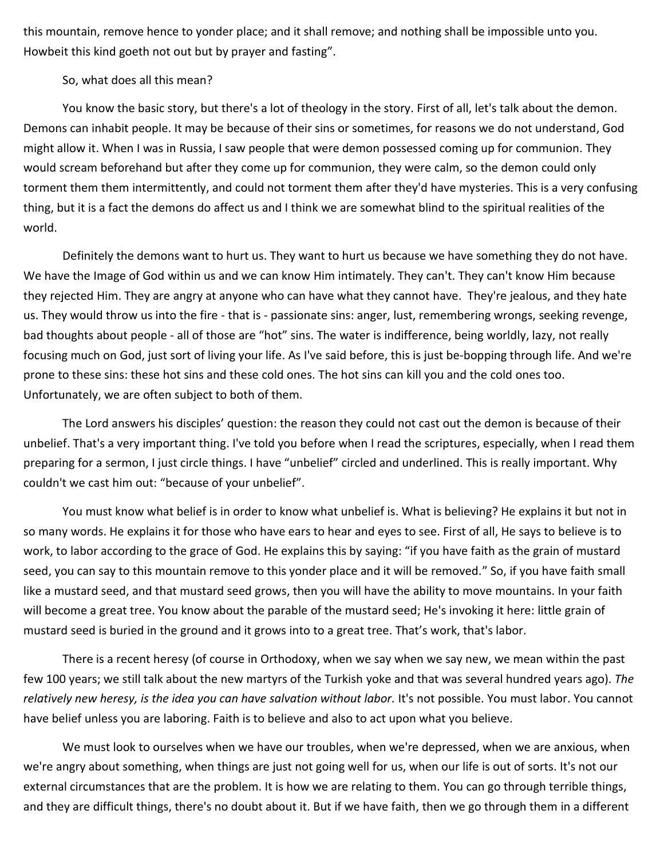this mountain, remove hence to yonder place; and it shall remove; and nothing shall be impossible unto you. Howbeit this kind goeth not out but by prayer and fasting".

So, what does all this mean?

You know the basic story, but there's a lot of theology in the story. First of all, let's talk about the demon. Demons can inhabit people. It may be because of their sins or sometimes, for reasons we do not understand, God might allow it. When I was in Russia, I saw people that were demon possessed coming up for communion. They would scream beforehand but after they come up for communion, they were calm, so the demon could only torment them them intermittently, and could not torment them after they'd have mysteries. This is a very confusing thing, but it is a fact the demons do affect us and I think we are somewhat blind to the spiritual realities of the world.

Definitely the demons want to hurt us. They want to hurt us because we have something they do not have. We have the Image of God within us and we can know Him intimately. They can't. They can't know Him because they rejected Him. They are angry at anyone who can have what they cannot have. They're jealous, and they hate us. They would throw us into the fire - that is - passionate sins: anger, lust, remembering wrongs, seeking revenge, bad thoughts about people - all of those are "hot" sins. The water is indifference, being worldly, lazy, not really focusing much on God, just sort of living your life. As I've said before, this is just be-bopping through life. And we're prone to these sins: these hot sins and these cold ones. The hot sins can kill you and the cold ones too. Unfortunately, we are often subject to both of them.

The Lord answers his disciples' question: the reason they could not cast out the demon is because of their unbelief. That's a very important thing. I've told you before when I read the scriptures, especially, when I read them preparing for a sermon, I just circle things. I have "unbelief" circled and underlined. This is really important. Why couldn't we cast him out: "because of your unbelief".

You must know what belief is in order to know what unbelief is. What is believing? He explains it but not in so many words. He explains it for those who have ears to hear and eyes to see. First of all, He says to believe is to work, to labor according to the grace of God. He explains this by saying: "if you have faith as the grain of mustard seed, you can say to this mountain remove to this yonder place and it will be removed." So, if you have faith small like a mustard seed, and that mustard seed grows, then you will have the ability to move mountains. In your faith will become a great tree. You know about the parable of the mustard seed; He's invoking it here: little grain of mustard seed is buried in the ground and it grows into to a great tree. That's work, that's labor.

There is a recent heresy (of course in Orthodoxy, when we say when we say new, we mean within the past few 100 years; we still talk about the new martyrs of the Turkish yoke and that was several hundred years ago). *The relatively new heresy, is the idea you can have salvation without labor.* It's not possible. You must labor. You cannot have belief unless you are laboring. Faith is to believe and also to act upon what you believe.

We must look to ourselves when we have our troubles, when we're depressed, when we are anxious, when we're angry about something, when things are just not going well for us, when our life is out of sorts. It's not our external circumstances that are the problem. It is how we are relating to them. You can go through terrible things, and they are difficult things, there's no doubt about it. But if we have faith, then we go through them in a different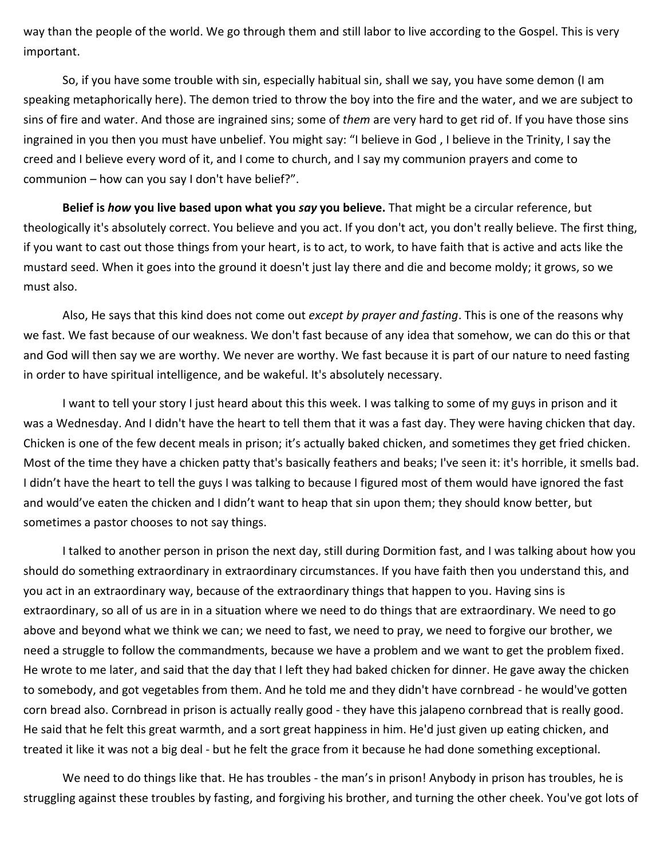way than the people of the world. We go through them and still labor to live according to the Gospel. This is very important.

So, if you have some trouble with sin, especially habitual sin, shall we say, you have some demon (I am speaking metaphorically here). The demon tried to throw the boy into the fire and the water, and we are subject to sins of fire and water. And those are ingrained sins; some of *them* are very hard to get rid of. If you have those sins ingrained in you then you must have unbelief. You might say: "I believe in God , I believe in the Trinity, I say the creed and I believe every word of it, and I come to church, and I say my communion prayers and come to communion – how can you say I don't have belief?".

**Belief is** *how* **you live based upon what you** *say* **you believe.** That might be a circular reference, but theologically it's absolutely correct. You believe and you act. If you don't act, you don't really believe. The first thing, if you want to cast out those things from your heart, is to act, to work, to have faith that is active and acts like the mustard seed. When it goes into the ground it doesn't just lay there and die and become moldy; it grows, so we must also.

Also, He says that this kind does not come out *except by prayer and fasting*. This is one of the reasons why we fast. We fast because of our weakness. We don't fast because of any idea that somehow, we can do this or that and God will then say we are worthy. We never are worthy. We fast because it is part of our nature to need fasting in order to have spiritual intelligence, and be wakeful. It's absolutely necessary.

I want to tell your story I just heard about this this week. I was talking to some of my guys in prison and it was a Wednesday. And I didn't have the heart to tell them that it was a fast day. They were having chicken that day. Chicken is one of the few decent meals in prison; it's actually baked chicken, and sometimes they get fried chicken. Most of the time they have a chicken patty that's basically feathers and beaks; I've seen it: it's horrible, it smells bad. I didn't have the heart to tell the guys I was talking to because I figured most of them would have ignored the fast and would've eaten the chicken and I didn't want to heap that sin upon them; they should know better, but sometimes a pastor chooses to not say things.

I talked to another person in prison the next day, still during Dormition fast, and I was talking about how you should do something extraordinary in extraordinary circumstances. If you have faith then you understand this, and you act in an extraordinary way, because of the extraordinary things that happen to you. Having sins is extraordinary, so all of us are in in a situation where we need to do things that are extraordinary. We need to go above and beyond what we think we can; we need to fast, we need to pray, we need to forgive our brother, we need a struggle to follow the commandments, because we have a problem and we want to get the problem fixed. He wrote to me later, and said that the day that I left they had baked chicken for dinner. He gave away the chicken to somebody, and got vegetables from them. And he told me and they didn't have cornbread - he would've gotten corn bread also. Cornbread in prison is actually really good - they have this jalapeno cornbread that is really good. He said that he felt this great warmth, and a sort great happiness in him. He'd just given up eating chicken, and treated it like it was not a big deal - but he felt the grace from it because he had done something exceptional.

We need to do things like that. He has troubles - the man's in prison! Anybody in prison has troubles, he is struggling against these troubles by fasting, and forgiving his brother, and turning the other cheek. You've got lots of